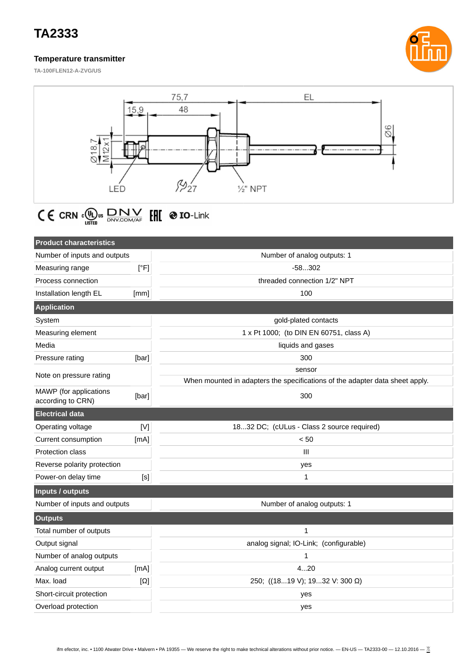## **TA2333**

#### **Temperature transmitter**



**TA-100FLEN12-A-ZVG/US**



# $\textsf{C} \in \textsf{cRN} \otimes_{\textsf{LISTB}} \textsf{DNN} \otimes_{\textsf{DNV}.\textsf{COM}/\textsf{A}\textsf{F}} \textsf{FRT} \otimes \textbf{IO}\textsf{-Link}$

| <b>Product characteristics</b>              |            |                                                                              |  |  |
|---------------------------------------------|------------|------------------------------------------------------------------------------|--|--|
| Number of inputs and outputs                |            | Number of analog outputs: 1                                                  |  |  |
| Measuring range                             | [°F]       | $-58302$                                                                     |  |  |
| Process connection                          |            | threaded connection 1/2" NPT                                                 |  |  |
| Installation length EL                      | [mm]       | 100                                                                          |  |  |
| <b>Application</b>                          |            |                                                                              |  |  |
| System                                      |            | gold-plated contacts                                                         |  |  |
| Measuring element                           |            | 1 x Pt 1000; (to DIN EN 60751, class A)                                      |  |  |
| Media                                       |            | liquids and gases                                                            |  |  |
| Pressure rating                             | [bar]      | 300                                                                          |  |  |
| Note on pressure rating                     |            | sensor                                                                       |  |  |
|                                             |            | When mounted in adapters the specifications of the adapter data sheet apply. |  |  |
| MAWP (for applications<br>according to CRN) | [bar]      | 300                                                                          |  |  |
| <b>Electrical data</b>                      |            |                                                                              |  |  |
| Operating voltage                           | [N]        | 1832 DC; (cULus - Class 2 source required)                                   |  |  |
| Current consumption                         | [mA]       | < 50                                                                         |  |  |
| <b>Protection class</b>                     |            | III                                                                          |  |  |
| Reverse polarity protection                 |            | yes                                                                          |  |  |
| Power-on delay time                         | [s]        | $\mathbf{1}$                                                                 |  |  |
| <b>Inputs / outputs</b>                     |            |                                                                              |  |  |
| Number of inputs and outputs                |            | Number of analog outputs: 1                                                  |  |  |
| <b>Outputs</b>                              |            |                                                                              |  |  |
| Total number of outputs                     |            | $\mathbf{1}$                                                                 |  |  |
| Output signal                               |            | analog signal; IO-Link; (configurable)                                       |  |  |
| Number of analog outputs                    |            | 1                                                                            |  |  |
| Analog current output                       | [mA]       | 420                                                                          |  |  |
| Max. load                                   | $[\Omega]$ | 250; ((1819 V); 1932 V: 300 Ω)                                               |  |  |
| Short-circuit protection<br>yes             |            |                                                                              |  |  |
| Overload protection                         |            | yes                                                                          |  |  |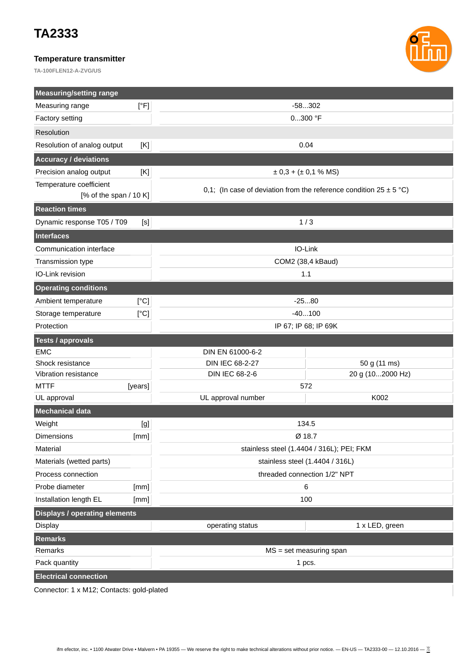## **TA2333**

### **Temperature transmitter**

**TA-100FLEN12-A-ZVG/US**



| <b>Measuring/setting range</b>       |                                                                               |                  |  |  |
|--------------------------------------|-------------------------------------------------------------------------------|------------------|--|--|
| [°F]<br>Measuring range              | $-58302$                                                                      |                  |  |  |
| Factory setting                      | $0300$ °F                                                                     |                  |  |  |
| Resolution                           |                                                                               |                  |  |  |
| Resolution of analog output<br>[K]   | 0.04                                                                          |                  |  |  |
| <b>Accuracy / deviations</b>         |                                                                               |                  |  |  |
| Precision analog output<br>[K]       | $\pm$ 0,3 + ( $\pm$ 0,1 % MS)                                                 |                  |  |  |
| Temperature coefficient              | 0,1; (In case of deviation from the reference condition $25 \pm 5^{\circ}$ C) |                  |  |  |
| [% of the span $/$ 10 K]             |                                                                               |                  |  |  |
| <b>Reaction times</b>                |                                                                               |                  |  |  |
| Dynamic response T05 / T09<br>[S]    | 1/3                                                                           |                  |  |  |
| Interfaces                           |                                                                               |                  |  |  |
| Communication interface              | IO-Link                                                                       |                  |  |  |
| Transmission type                    | COM2 (38,4 kBaud)                                                             |                  |  |  |
| IO-Link revision                     | 1.1                                                                           |                  |  |  |
| <b>Operating conditions</b>          |                                                                               |                  |  |  |
| [°C]<br>Ambient temperature          | $-2580$                                                                       |                  |  |  |
| [°C]<br>Storage temperature          | $-40100$                                                                      |                  |  |  |
| Protection                           | IP 67; IP 68; IP 69K                                                          |                  |  |  |
| <b>Tests / approvals</b>             |                                                                               |                  |  |  |
| <b>EMC</b>                           | DIN EN 61000-6-2                                                              |                  |  |  |
| Shock resistance                     | DIN IEC 68-2-27                                                               | 50 g (11 ms)     |  |  |
| Vibration resistance                 | <b>DIN IEC 68-2-6</b>                                                         | 20 g (102000 Hz) |  |  |
| <b>MTTF</b><br>[years]               | 572                                                                           |                  |  |  |
| UL approval                          | UL approval number                                                            | K002             |  |  |
| <b>Mechanical data</b>               |                                                                               |                  |  |  |
| Weight<br>[g]                        | 134.5                                                                         |                  |  |  |
| <b>Dimensions</b><br>[mm]            | Ø 18.7                                                                        |                  |  |  |
| Material                             | stainless steel (1.4404 / 316L); PEI; FKM                                     |                  |  |  |
| Materials (wetted parts)             | stainless steel (1.4404 / 316L)                                               |                  |  |  |
| Process connection                   | threaded connection 1/2" NPT                                                  |                  |  |  |
| Probe diameter<br>[mm]               | 6                                                                             |                  |  |  |
| Installation length EL<br>[mm]       | 100                                                                           |                  |  |  |
| <b>Displays / operating elements</b> |                                                                               |                  |  |  |
| <b>Display</b>                       | operating status                                                              | 1 x LED, green   |  |  |
| <b>Remarks</b>                       |                                                                               |                  |  |  |
| Remarks                              | $MS = set measuring span$                                                     |                  |  |  |
| Pack quantity                        |                                                                               | 1 pcs.           |  |  |
| <b>Electrical connection</b>         |                                                                               |                  |  |  |

Connector: 1 x M12; Contacts: gold-plated